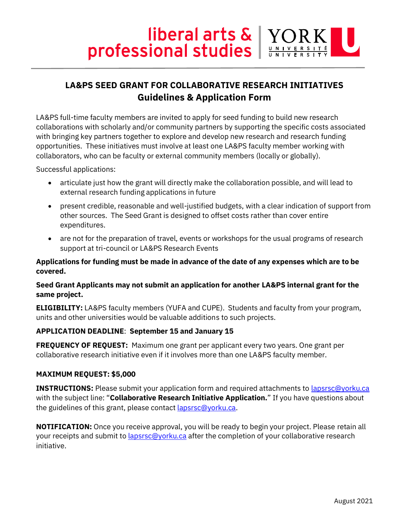# **Solutional Studies** Professional studies

# **LA&PS SEED GRANT FOR COLLABORATIVE RESEARCH INITIATIVES Guidelines & Application Form**

LA&PS full-time faculty members are invited to apply for seed funding to build new research collaborations with scholarly and/or community partners by supporting the specific costs associated with bringing key partners together to explore and develop new research and research funding opportunities. These initiatives must involve at least one LA&PS faculty member working with collaborators, who can be faculty or external community members (locally or globally).

Successful applications:

- articulate just how the grant will directly make the collaboration possible, and will lead to external research funding applications in future
- present credible, reasonable and well-justified budgets, with a clear indication of support from other sources. The Seed Grant is designed to offset costs rather than cover entire expenditures.
- are not for the preparation of travel, events or workshops for the usual programs of research support at tri-council or LA&PS Research Events

### **Applications for funding must be made in advance of the date of any expenses which are to be covered.**

## **Seed Grant Applicants may not submit an application for another LA&PS internal grant for the same project.**

**ELIGIBILITY:** LA&PS faculty members (YUFA and CUPE). Students and faculty from your program, units and other universities would be valuable additions to such projects.

## **APPLICATION DEADLINE**: **September 15 and January 15**

**FREQUENCY OF REQUEST:** Maximum one grant per applicant every two years. One grant per collaborative research initiative even if it involves more than one LA&PS faculty member.

#### **MAXIMUM REQUEST: \$5,000**

**INSTRUCTIONS:** Please submit your application form and required attachments to [lapsrsc@yorku.ca](mailto:lapsrsc@yorku.ca) with the subject line: "**Collaborative Research Initiative Application.**" If you have questions about the guidelines of this grant, please contact **lapsrsc@yorku.ca**.

**NOTIFICATION:** Once you receive approval, you will be ready to begin your project. Please retain all your receipts and submit to **lapsrsc@yorku.ca** after the completion of your collaborative research initiative.